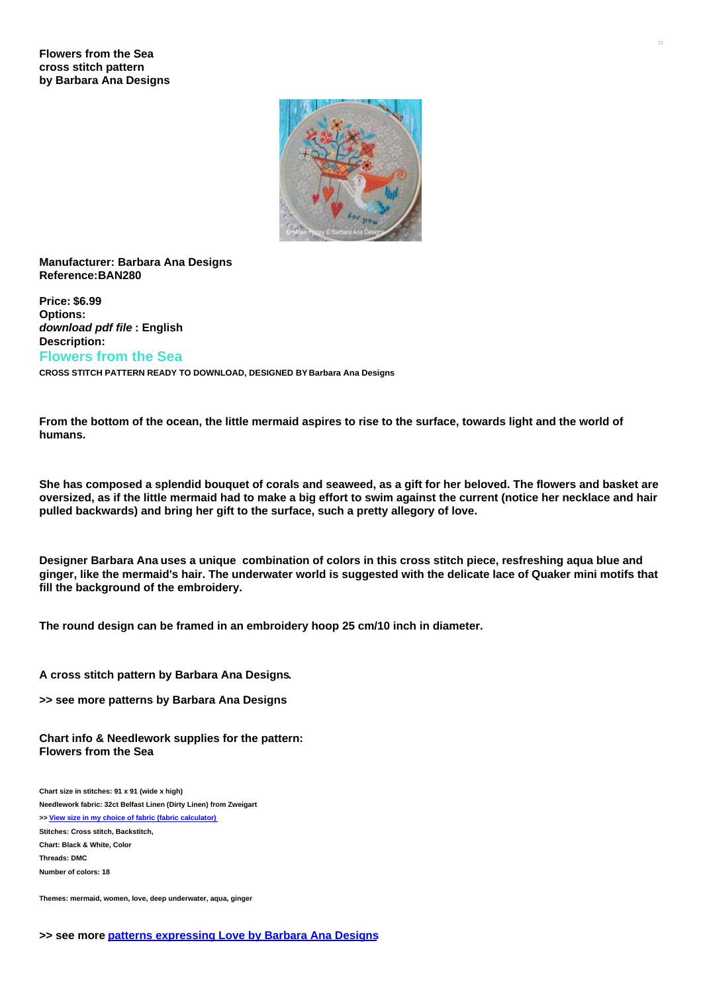

## **Manufacturer: Barbara Ana Designs Reference:BAN280**

**Price: \$6.99 Options:** *download pdf file* **: English Description: Flowers from the Sea**

**CROSS STITCH PATTERN READY TO DOWNLOAD, DESIGNED BY Barbara Ana Designs**

From the bottom of the ocean, the little mermaid aspires to rise to the surface, towards light and the world of **humans.**

She has composed a splendid bouquet of corals and seaweed, as a gift for her beloved. The flowers and basket are oversized, as if the little mermaid had to make a big effort to swim against the current (notice her necklace and hair **pulled backwards) and bring her gift to the surface, such a pretty allegory of love.**

Designer Barbara Ana uses a unique combination of colors in this cross stitch piece, resfreshing aqua blue and ginger, like the mermaid's hair. The underwater world is suggested with the delicate lace of Quaker mini motifs that **fill the background of the embroidery.**

**The round design can be framed in an embroidery hoop 25 cm/10 inch in diameter.**

## **A cross stitch pattern by Barbara Ana Designs.**

**>> see more patterns by Barbara Ana Designs**

**Chart info & Needlework supplies for the pattern: Flowers from the Sea**

**Chart size in stitches: 91 x 91 (wide x high) Needlework fabric: 32ct Belfast Linen (Dirty Linen) from Zweigart >> View size in my choice of fabric (fabric [calculator\)](https://www.creativepoppypatterns.com/calculette-de-toile.php?products_id=&w=&h=) Stitches: Cross stitch, Backstitch, Chart: Black & White, Color Threads: DMC Number of colors: 18**

**Themes: mermaid, women, love, deep underwater, aqua, ginger**